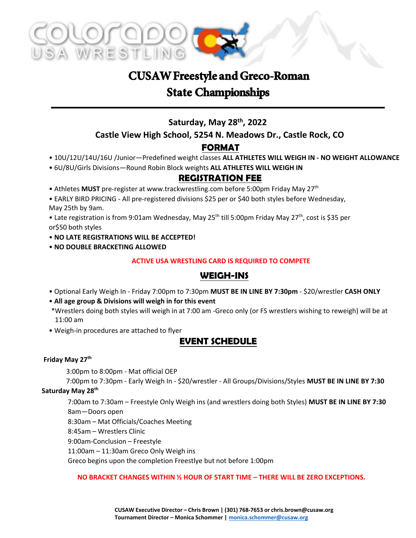

# **CUSAW Freestyle and Greco-Roman State Championships**

## **Saturday, May 28 th , 2022**

--------------------------------------------------------------------------------------------------------------

#### **Castle View High School, 5254 N. Meadows Dr., Castle Rock, CO**

## **FORMAT**

• 10U/12U/14U/16U /Junior—Predefined weight classes **ALL ATHLETES WILL WEIGH IN - NO WEIGHT ALLOWANCE**

#### • 6U/8U/Girls Divisions—Round Robin Block weights **ALL ATHLETES WILL WEIGH IN**

#### **REGISTRATION FEE**

• Athletes MUST pre-register at www.trackwrestling.com before 5:00pm Friday May 27<sup>th</sup>

• EARLY BIRD PRICING - All pre-registered divisions \$25 per or \$40 both styles before Wednesday, May 25th by 9am.

• Late registration is from 9:01am Wednesday, May 25<sup>th</sup> till 5:00pm Friday May 27<sup>th</sup>, cost is \$35 per or\$50 both styles

- **NO LATE REGISTRATIONS WILL BE ACCEPTED!**
- **NO DOUBLE BRACKETING ALLOWED**

#### **ACTIVE USA WRESTLING CARD IS REQUIRED TO COMPETE**

#### **WEIGH-INS**

- Optional Early Weigh In Friday 7:00pm to 7:30pm **MUST BE IN LINE BY 7:30pm** \$20/wrestler **CASH ONLY**
- **All age group & Divisions will weigh in for this event**
- \*Wrestlers doing both styles will weigh in at 7:00 am -Greco only (or FS wrestlers wishing to reweigh) will be at 11:00 am
- Weigh-in procedures are attached to flyer

## **EVENT SCHEDULE**

#### **Friday May 27 th**

3:00pm to 8:00pm - Mat official OEP

7:00pm to 7:30pm - Early Weigh In - \$20/wrestler - All Groups/Divisions/Styles **MUST BE IN LINE BY 7:30**

#### **Saturday May 28 th**

7:00am to 7:30am – Freestyle Only Weigh ins (and wrestlers doing both Styles) **MUST BE IN LINE BY 7:30** 8am—Doors open

8:30am – Mat Officials/Coaches Meeting

8:45am – Wrestlers Clinic

9:00am-Conclusion – Freestyle

11:00am – 11:30am Greco Only Weigh ins

Greco begins upon the completion Freestlye but not before 1:00pm

**NO BRACKET CHANGES WITHIN ½ HOUR OF START TIME – THERE WILL BE ZERO EXCEPTIONS.**